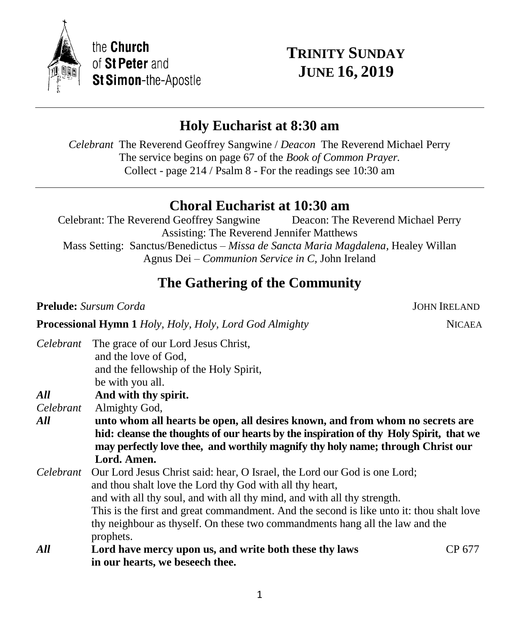

**TRINITY SUNDAY JUNE 16, 2019**

# **Holy Eucharist at 8:30 am**

*Celebrant* The Reverend Geoffrey Sangwine / *Deacon* The Reverend Michael Perry The service begins on page 67 of the *Book of Common Prayer.* Collect - page 214 / Psalm 8 - For the readings see 10:30 am

## **Choral Eucharist at 10:30 am**

Celebrant: The Reverend Geoffrey Sangwine Deacon: The Reverend Michael Perry Assisting: The Reverend Jennifer Matthews Mass Setting: Sanctus/Benedictus – *Missa de Sancta Maria Magdalena,* Healey Willan Agnus Dei *– Communion Service in C,* John Ireland

# **The Gathering of the Community**

**Prelude:** *Sursum Corda Sursum Corda Solution Solution Solution 3 and 3 and 3 and 3 and 3 and 3 and 3 and 3 and 3 and 3 and 3 and 3 and 3 and 3 and 3 and 3 and 3 and 3 and 3 and 3 and 3 and 3 and 3 and* 

**Processional Hymn 1** *Holy, Holy, Holy, Lord God Almighty* **NICAEA** 

|           | <i>Celebrant</i> The grace of our Lord Jesus Christ,                                     |        |
|-----------|------------------------------------------------------------------------------------------|--------|
|           | and the love of God,                                                                     |        |
|           | and the fellowship of the Holy Spirit,                                                   |        |
|           | be with you all.                                                                         |        |
| All       | And with thy spirit.                                                                     |        |
| Celebrant | Almighty God,                                                                            |        |
| All       | unto whom all hearts be open, all desires known, and from whom no secrets are            |        |
|           | hid: cleanse the thoughts of our hearts by the inspiration of thy Holy Spirit, that we   |        |
|           | may perfectly love thee, and worthily magnify thy holy name; through Christ our          |        |
|           | Lord. Amen.                                                                              |        |
|           | Celebrant Our Lord Jesus Christ said: hear, O Israel, the Lord our God is one Lord;      |        |
|           | and thou shalt love the Lord thy God with all thy heart,                                 |        |
|           | and with all thy soul, and with all thy mind, and with all thy strength.                 |        |
|           | This is the first and great commandment. And the second is like unto it: thou shalt love |        |
|           | thy neighbour as thyself. On these two commandments hang all the law and the             |        |
|           | prophets.                                                                                |        |
| All       | Lord have mercy upon us, and write both these thy laws                                   | CP 677 |
|           | in our hearts, we beseech thee.                                                          |        |

1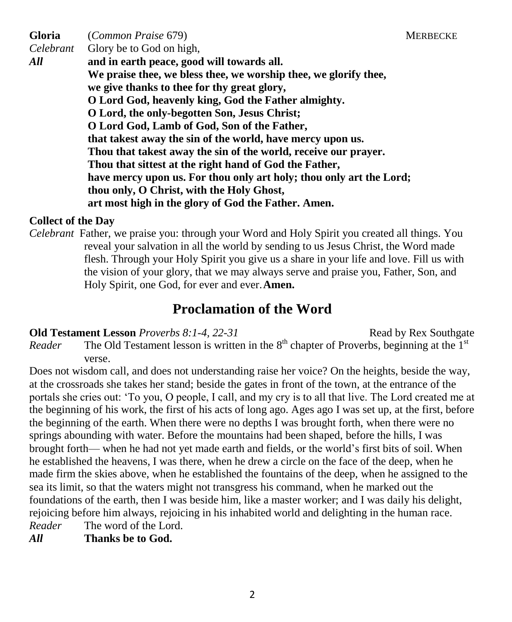**Gloria** (*Common Praise* 679) MERBECKE *Celebrant* Glory be to God on high, *All* **and in earth peace, good will towards all. We praise thee, we bless thee, we worship thee, we glorify thee, we give thanks to thee for thy great glory, O Lord God, heavenly king, God the Father almighty. O Lord, the only-begotten Son, Jesus Christ; O Lord God, Lamb of God, Son of the Father, that takest away the sin of the world, have mercy upon us. Thou that takest away the sin of the world, receive our prayer. Thou that sittest at the right hand of God the Father, have mercy upon us. For thou only art holy; thou only art the Lord; thou only, O Christ, with the Holy Ghost, art most high in the glory of God the Father. Amen.**

### **Collect of the Day**

*Celebrant* Father, we praise you: through your Word and Holy Spirit you created all things. You reveal your salvation in all the world by sending to us Jesus Christ, the Word made flesh. Through your Holy Spirit you give us a share in your life and love. Fill us with the vision of your glory, that we may always serve and praise you, Father, Son, and Holy Spirit, one God, for ever and ever.**Amen.**

## **Proclamation of the Word**

#### **Old Testament Lesson** *Proverbs 8:1-4, 22-31* Read by Rex Southgate

Reader The Old Testament lesson is written in the 8<sup>th</sup> chapter of Proverbs, beginning at the 1<sup>st</sup>

verse.

Does not wisdom call, and does not understanding raise her voice? On the heights, beside the way, at the crossroads she takes her stand; beside the gates in front of the town, at the entrance of the portals she cries out: 'To you, O people, I call, and my cry is to all that live. The Lord created me at the beginning of his work, the first of his acts of long ago. Ages ago I was set up, at the first, before the beginning of the earth. When there were no depths I was brought forth, when there were no springs abounding with water. Before the mountains had been shaped, before the hills, I was brought forth— when he had not yet made earth and fields, or the world's first bits of soil. When he established the heavens, I was there, when he drew a circle on the face of the deep, when he made firm the skies above, when he established the fountains of the deep, when he assigned to the sea its limit, so that the waters might not transgress his command, when he marked out the foundations of the earth, then I was beside him, like a master worker; and I was daily his delight, rejoicing before him always, rejoicing in his inhabited world and delighting in the human race. *Reader* The word of the Lord.

*All* **Thanks be to God.**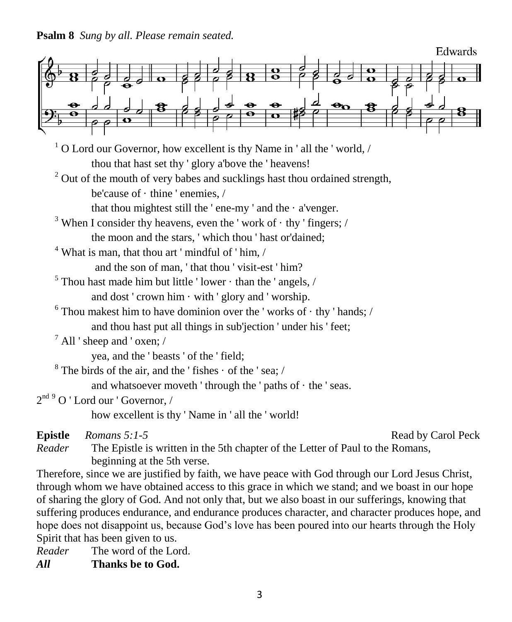**Psalm 8** *Sung by all. Please remain seated.*



*Reader* The Epistle is written in the 5th chapter of the Letter of Paul to the Romans, beginning at the 5th verse.

Therefore, since we are justified by faith, we have peace with God through our Lord Jesus Christ, through whom we have obtained access to this grace in which we stand; and we boast in our hope of sharing the glory of God. And not only that, but we also boast in our sufferings, knowing that suffering produces endurance, and endurance produces character, and character produces hope, and hope does not disappoint us, because God's love has been poured into our hearts through the Holy Spirit that has been given to us.

*Reader* The word of the Lord.

*All* **Thanks be to God.**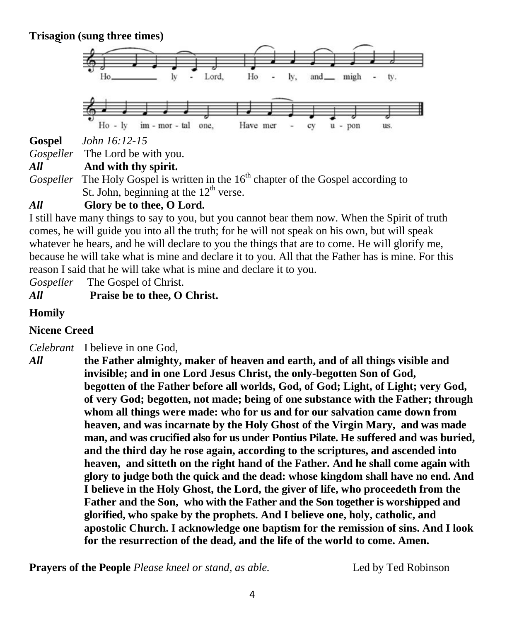**Trisagion (sung three times)**



**Gospel** *John 16:12-15*

*Gospeller* The Lord be with you.

## *All* **And with thy spirit.**

*Gospeller* The Holy Gospel is written in the 16<sup>th</sup> chapter of the Gospel according to St. John, beginning at the  $12<sup>th</sup>$  verse.

## *All* **Glory be to thee, O Lord.**

I still have many things to say to you, but you cannot bear them now. When the Spirit of truth comes, he will guide you into all the truth; for he will not speak on his own, but will speak whatever he hears, and he will declare to you the things that are to come. He will glorify me, because he will take what is mine and declare it to you. All that the Father has is mine. For this reason I said that he will take what is mine and declare it to you.

*Gospeller* The Gospel of Christ.

*All* **Praise be to thee, O Christ.**

## **Homily**

## **Nicene Creed**

*Celebrant* I believe in one God,

*All* **the Father almighty, maker of heaven and earth, and of all things visible and invisible; and in one Lord Jesus Christ, the only-begotten Son of God, begotten of the Father before all worlds, God, of God; Light, of Light; very God, of very God; begotten, not made; being of one substance with the Father; through whom all things were made: who for us and for our salvation came down from heaven, and was incarnate by the Holy Ghost of the Virgin Mary, and was made man, and was crucified also for us under Pontius Pilate. He suffered and was buried, and the third day he rose again, according to the scriptures, and ascended into heaven, and sitteth on the right hand of the Father. And he shall come again with glory to judge both the quick and the dead: whose kingdom shall have no end. And I believe in the Holy Ghost, the Lord, the giver of life, who proceedeth from the Father and the Son, who with the Father and the Son together is worshipped and glorified, who spake by the prophets. And I believe one, holy, catholic, and apostolic Church. I acknowledge one baptism for the remission of sins. And I look for the resurrection of the dead, and the life of the world to come. Amen.**

**Prayers of the People** *Please kneel or stand, as able.* Led by Ted Robinson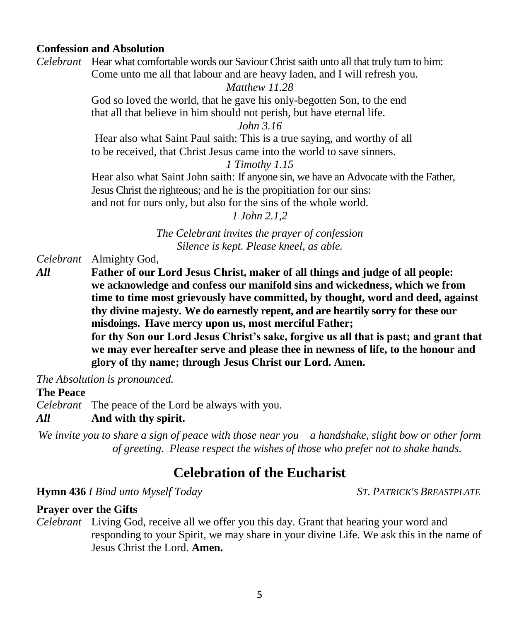#### **Confession and Absolution**

*Celebrant* Hear what comfortable words our Saviour Christ saith unto all that truly turn to him: Come unto me all that labour and are heavy laden, and I will refresh you.

#### *Matthew 11.28*

God so loved the world, that he gave his only-begotten Son, to the end that all that believe in him should not perish, but have eternal life.

#### *John 3.16*

Hear also what Saint Paul saith: This is a true saying, and worthy of all to be received, that Christ Jesus came into the world to save sinners.

#### *1 Timothy 1.15*

Hear also what Saint John saith: If anyone sin, we have an Advocate with the Father, Jesus Christ the righteous; and he is the propitiation for our sins:

and not for ours only, but also for the sins of the whole world.

### *1 John 2.1,2*

*The Celebrant invites the prayer of confession Silence is kept. Please kneel, as able.*

*Celebrant* Almighty God,

*All* **Father of our Lord Jesus Christ, maker of all things and judge of all people: we acknowledge and confess our manifold sins and wickedness, which we from time to time most grievously have committed, by thought, word and deed, against thy divine majesty. We do earnestly repent, and are heartily sorry for these our misdoings. Have mercy upon us, most merciful Father; for thy Son our Lord Jesus Christ's sake, forgive us all that is past; and grant that we may ever hereafter serve and please thee in newness of life, to the honour and glory of thy name; through Jesus Christ our Lord. Amen.**

*The Absolution is pronounced.*

#### **The Peace**

*Celebrant* The peace of the Lord be always with you.

### *All* **And with thy spirit.**

*We invite you to share a sign of peace with those near you – a handshake, slight bow or other form of greeting. Please respect the wishes of those who prefer not to shake hands.*

## **Celebration of the Eucharist**

**Hymn 436** *I Bind unto Myself Today* S*T. PATRICK'S BREASTPLATE* 

#### **Prayer over the Gifts**

*Celebrant* Living God, receive all we offer you this day. Grant that hearing your word and responding to your Spirit, we may share in your divine Life. We ask this in the name of Jesus Christ the Lord. **Amen.**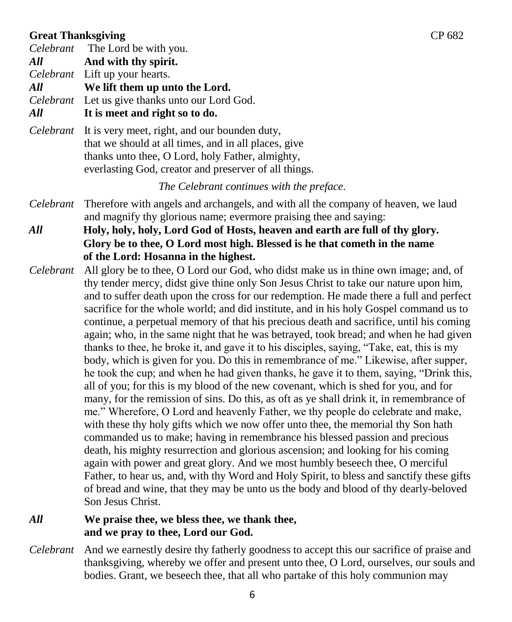## **Great Thanksgiving**   $CP 682$

*Celebrant* The Lord be with you. *All* **And with thy spirit.** *Celebrant* Lift up your hearts. *All* **We lift them up unto the Lord.** *Celebrant* Let us give thanks unto our Lord God.

*All* **It is meet and right so to do.**

*Celebrant* It is very meet, right, and our bounden duty, that we should at all times, and in all places, give thanks unto thee, O Lord, holy Father, almighty, everlasting God, creator and preserver of all things.

### *The Celebrant continues with the preface.*

- *Celebrant* Therefore with angels and archangels, and with all the company of heaven, we laud and magnify thy glorious name; evermore praising thee and saying:
- *All* **Holy, holy, holy, Lord God of Hosts, heaven and earth are full of thy glory. Glory be to thee, O Lord most high. Blessed is he that cometh in the name of the Lord: Hosanna in the highest.**
- *Celebrant* All glory be to thee, O Lord our God, who didst make us in thine own image; and, of thy tender mercy, didst give thine only Son Jesus Christ to take our nature upon him, and to suffer death upon the cross for our redemption. He made there a full and perfect sacrifice for the whole world; and did institute, and in his holy Gospel command us to continue, a perpetual memory of that his precious death and sacrifice, until his coming again; who, in the same night that he was betrayed, took bread; and when he had given thanks to thee, he broke it, and gave it to his disciples, saying, "Take, eat, this is my body, which is given for you. Do this in remembrance of me." Likewise, after supper, he took the cup; and when he had given thanks, he gave it to them, saying, "Drink this, all of you; for this is my blood of the new covenant, which is shed for you, and for many, for the remission of sins. Do this, as oft as ye shall drink it, in remembrance of me." Wherefore, O Lord and heavenly Father, we thy people do celebrate and make, with these thy holy gifts which we now offer unto thee, the memorial thy Son hath commanded us to make; having in remembrance his blessed passion and precious death, his mighty resurrection and glorious ascension; and looking for his coming again with power and great glory. And we most humbly beseech thee, O merciful Father, to hear us, and, with thy Word and Holy Spirit, to bless and sanctify these gifts of bread and wine, that they may be unto us the body and blood of thy dearly-beloved Son Jesus Christ.
- *All* **We praise thee, we bless thee, we thank thee, and we pray to thee, Lord our God.**
- *Celebrant* And we earnestly desire thy fatherly goodness to accept this our sacrifice of praise and thanksgiving, whereby we offer and present unto thee, O Lord, ourselves, our souls and bodies. Grant, we beseech thee, that all who partake of this holy communion may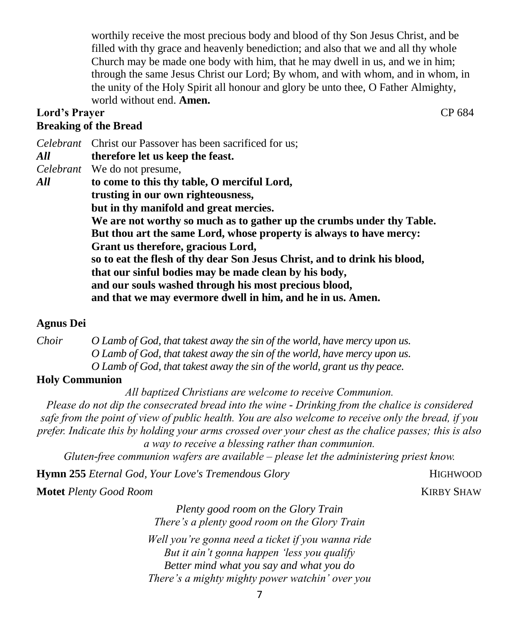worthily receive the most precious body and blood of thy Son Jesus Christ, and be filled with thy grace and heavenly benediction; and also that we and all thy whole Church may be made one body with him, that he may dwell in us, and we in him; through the same Jesus Christ our Lord; By whom, and with whom, and in whom, in the unity of the Holy Spirit all honour and glory be unto thee, O Father Almighty, world without end. **Amen.**

### **Lord's Prayer** CP 684 **Breaking of the Bread**

*Celebrant* Christ our Passover has been sacrificed for us; *All* **therefore let us keep the feast.** *Celebrant* We do not presume, *All* **to come to this thy table, O merciful Lord, trusting in our own righteousness, but in thy manifold and great mercies. We are not worthy so much as to gather up the crumbs under thy Table. But thou art the same Lord, whose property is always to have mercy: Grant us therefore, gracious Lord, so to eat the flesh of thy dear Son Jesus Christ, and to drink his blood, that our sinful bodies may be made clean by his body, and our souls washed through his most precious blood, and that we may evermore dwell in him, and he in us. Amen.**

## **Agnus Dei**

*Choir O Lamb of God, that takest away the sin of the world, have mercy upon us. O Lamb of God, that takest away the sin of the world, have mercy upon us. O Lamb of God, that takest away the sin of the world, grant us thy peace.*

## **Holy Communion**

*All baptized Christians are welcome to receive Communion.*

*Please do not dip the consecrated bread into the wine - Drinking from the chalice is considered safe from the point of view of public health. You are also welcome to receive only the bread, if you prefer. Indicate this by holding your arms crossed over your chest as the chalice passes; this is also a way to receive a blessing rather than communion.*

*Gluten-free communion wafers are available – please let the administering priest know.*

**Hymn 255** *Eternal God, Your Love's Tremendous Glory* **HIGHWOOD HIGHWOOD** 

**Motet** *Plenty Good Room* **KIRBY SHAW** 

*Plenty good room on the Glory Train There's a plenty good room on the Glory Train* 

*Well you're gonna need a ticket if you wanna ride But it ain't gonna happen 'less you qualify Better mind what you say and what you do There's a mighty mighty power watchin' over you*